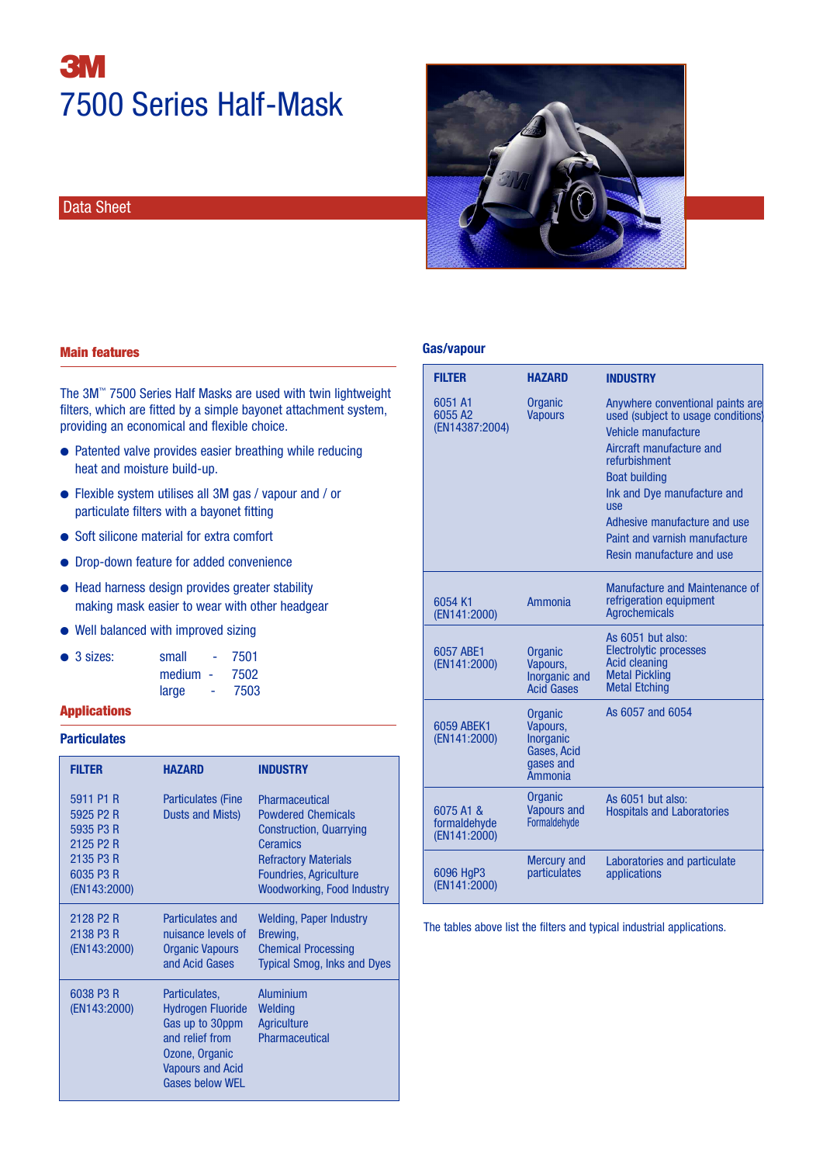# **3** 7500 Series Half-Mask

### Data Sheet



#### **Gas/vapour**

| <b>FILTER</b>                             | <b>HAZARD</b>                                                                         | <b>INDUSTRY</b>                                                                                                                                                                                                                                                                                               |
|-------------------------------------------|---------------------------------------------------------------------------------------|---------------------------------------------------------------------------------------------------------------------------------------------------------------------------------------------------------------------------------------------------------------------------------------------------------------|
| 6051 A1<br>6055 A2<br>(EN14387:2004)      | Organic<br><b>Vapours</b>                                                             | Anywhere conventional paints are<br>used (subject to usage conditions)<br>Vehicle manufacture<br>Aircraft manufacture and<br>refurbishment<br><b>Boat building</b><br>Ink and Dye manufacture and<br><b>USe</b><br>Adhesive manufacture and use<br>Paint and varnish manufacture<br>Resin manufacture and use |
| 6054 K1<br>(EN141:2000)                   | <b>Ammonia</b>                                                                        | Manufacture and Maintenance of<br>refrigeration equipment<br><b>Agrochemicals</b>                                                                                                                                                                                                                             |
| 6057 ABE1<br>(EN141:2000)                 | Organic<br>Vapours,<br>Inorganic and<br><b>Acid Gases</b>                             | As 6051 but also:<br><b>Electrolytic processes</b><br><b>Acid cleaning</b><br><b>Metal Pickling</b><br><b>Metal Etching</b>                                                                                                                                                                                   |
| 6059 ABEK1<br>(EN141:2000)                | Organic<br>Vapours,<br><b>Inorganic</b><br>Gases, Acid<br>gases and<br><b>Ammonia</b> | As 6057 and 6054                                                                                                                                                                                                                                                                                              |
| 6075 A1 &<br>formaldehyde<br>(EN141:2000) | Organic<br><b>Vapours and</b><br>Formaldehyde                                         | As 6051 but also:<br><b>Hospitals and Laboratories</b>                                                                                                                                                                                                                                                        |
| 6096 HgP3<br>(EN141:2000)                 | <b>Mercury and</b><br>particulates                                                    | Laboratories and particulate<br>applications                                                                                                                                                                                                                                                                  |

The tables above list the filters and typical industrial applications.

#### Main features

The 3M™ 7500 Series Half Masks are used with twin lightweight filters, which are fitted by a simple bayonet attachment system, providing an economical and flexible choice.

- **●** Patented valve provides easier breathing while reducing heat and moisture build-up.
- **●** Flexible system utilises all 3M gas / vapour and / or particulate filters with a bayonet fitting
- **●** Soft silicone material for extra comfort
- **●** Drop-down feature for added convenience
- **●** Head harness design provides greater stability making mask easier to wear with other headgear
- **●** Well balanced with improved sizing

| $\bullet$ 3 sizes: | small<br><b>Service</b> | 7501 |
|--------------------|-------------------------|------|
|                    | $median -$              | 7502 |
|                    | large<br><b>COL</b>     | 7503 |

#### Applications

#### **Particulates**

| <b>FILTER</b>                                                                                          | HAZARD                                                                                                                                                 | <b>INDUSTRY</b>                                                                                                                                                                                |
|--------------------------------------------------------------------------------------------------------|--------------------------------------------------------------------------------------------------------------------------------------------------------|------------------------------------------------------------------------------------------------------------------------------------------------------------------------------------------------|
| 5911 P1 R<br>5925 P2 R<br>5935 P3 R<br>2125 P <sub>2</sub> R<br>2135 P3 R<br>6035 P3 R<br>(EN143:2000) | <b>Particulates (Fine</b><br>Dusts and Mists)                                                                                                          | Pharmaceutical<br><b>Powdered Chemicals</b><br><b>Construction, Quarrying</b><br><b>Ceramics</b><br><b>Refractory Materials</b><br><b>Foundries, Agriculture</b><br>Woodworking, Food Industry |
| 2128 P <sub>2</sub> R<br>2138 P3 R<br>(EN143:2000)                                                     | Particulates and<br>nuisance levels of<br><b>Organic Vapours</b><br>and Acid Gases                                                                     | Welding, Paper Industry<br>Brewing,<br><b>Chemical Processing</b><br><b>Typical Smog, Inks and Dyes</b>                                                                                        |
| 6038 P3 R<br>(EN143:2000)                                                                              | Particulates,<br><b>Hydrogen Fluoride</b><br>Gas up to 30ppm<br>and relief from<br>Ozone, Organic<br><b>Vapours and Acid</b><br><b>Gases below WEL</b> | <b>Aluminium</b><br>Welding<br><b>Agriculture</b><br>Pharmaceutical                                                                                                                            |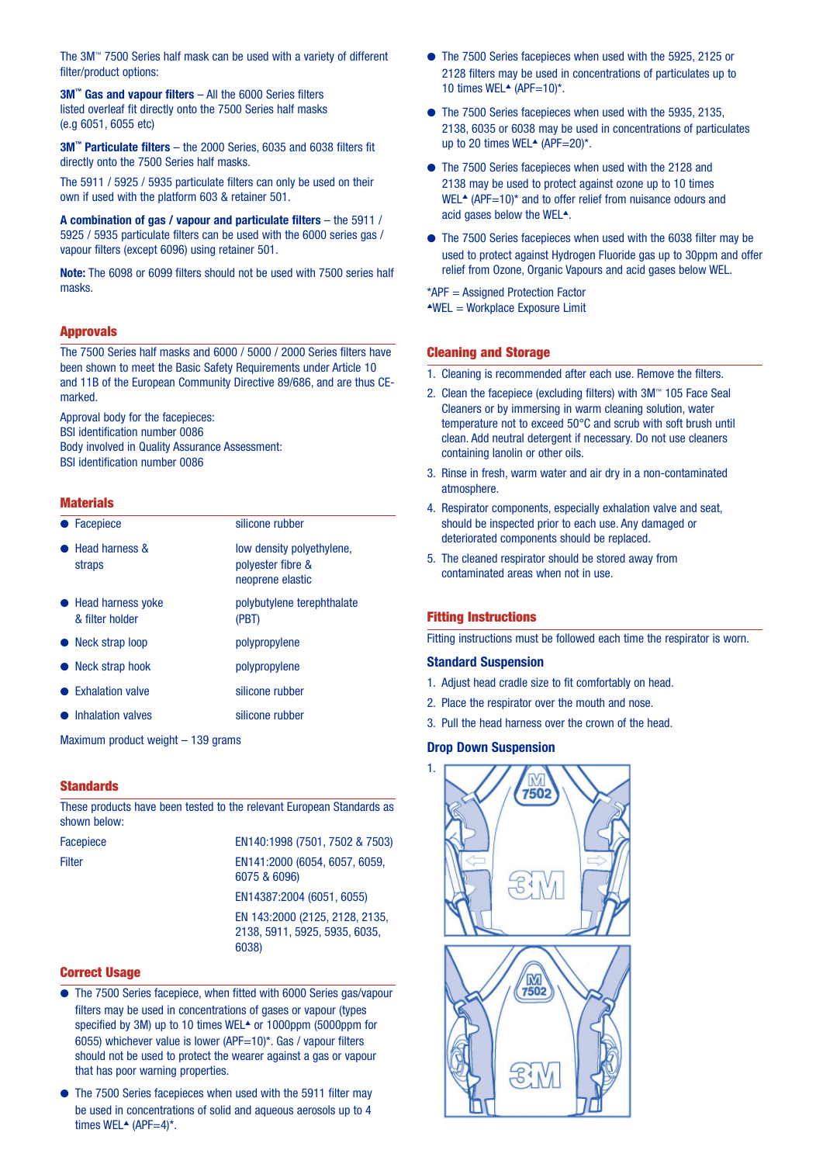The 3M™ 7500 Series half mask can be used with a variety of different filter/product options:

**3M™ Gas and vapour filters** – All the 6000 Series filters listed overleaf fit directly onto the 7500 Series half masks (e.g 6051, 6055 etc)

**3M™ Particulate filters** – the 2000 Series, 6035 and 6038 filters fit directly onto the 7500 Series half masks.

The 5911 / 5925 / 5935 particulate filters can only be used on their own if used with the platform 603 & retainer 501.

**A combination of gas / vapour and particulate filters** – the 5911 / 5925 / 5935 particulate filters can be used with the 6000 series gas / vapour filters (except 6096) using retainer 501.

**Note:** The 6098 or 6099 filters should not be used with 7500 series half masks.

#### Approvals

The 7500 Series half masks and 6000 / 5000 / 2000 Series filters have been shown to meet the Basic Safety Requirements under Article 10 and 11B of the European Community Directive 89/686, and are thus CEmarked.

Approval body for the facepieces: BSI identification number 0086 Body involved in Quality Assurance Assessment: BSI identification number 0086

#### **Materials**

| Facepiece                              | silicone rubber                                                    |
|----------------------------------------|--------------------------------------------------------------------|
| <b>Head harness &amp;</b><br>straps    | low density polyethylene,<br>polyester fibre &<br>neoprene elastic |
| • Head harness yoke<br>& filter holder | polybutylene terephthalate<br>(PBT)                                |
| • Neck strap loop                      | polypropylene                                                      |
| • Neck strap hook                      | polypropylene                                                      |
| <b>Exhalation valve</b>                | silicone rubber                                                    |
| <b>Inhalation valves</b>               | silicone rubber                                                    |

Maximum product weight – 139 grams

#### **Standards**

These products have been tested to the relevant European Standards as shown below:

Facepiece EN140:1998 (7501, 7502 & 7503) Filter EN141:2000 (6054, 6057, 6059, 6075 & 6096)

EN14387:2004 (6051, 6055)

EN 143:2000 (2125, 2128, 2135, 2138, 5911, 5925, 5935, 6035, 6038)

#### Correct Usage

- **●** The 7500 Series facepiece, when fitted with 6000 Series gas/vapour filters may be used in concentrations of gases or vapour (types specified by 3M) up to 10 times WEL**▲** or 1000ppm (5000ppm for 6055) whichever value is lower (APF=10)\*. Gas / vapour filters should not be used to protect the wearer against a gas or vapour that has poor warning properties.
- **●** The 7500 Series facepieces when used with the 5911 filter may be used in concentrations of solid and aqueous aerosols up to 4 times WEL<sup>▲</sup> (APF=4)<sup>\*</sup>.
- **●** The 7500 Series facepieces when used with the 5925, 2125 or 2128 filters may be used in concentrations of particulates up to 10 times WEL**▲** (APF=10)\*.
- **●** The 7500 Series facepieces when used with the 5935, 2135, 2138, 6035 or 6038 may be used in concentrations of particulates up to 20 times WEL**▲** (APF=20)\*.
- **●** The 7500 Series facepieces when used with the 2128 and 2138 may be used to protect against ozone up to 10 times WEL<sup>▲</sup> (APF=10)<sup>\*</sup> and to offer relief from nuisance odours and acid gases below the WEL**▲**.
- **●** The 7500 Series facepieces when used with the 6038 filter may be used to protect against Hydrogen Fluoride gas up to 30ppm and offer relief from Ozone, Organic Vapours and acid gases below WEL.

\*APF = Assigned Protection Factor

**▲**WEL = Workplace Exposure Limit

#### Cleaning and Storage

- 1. Cleaning is recommended after each use. Remove the filters.
- 2. Clean the facepiece (excluding filters) with 3M™ 105 Face Seal Cleaners or by immersing in warm cleaning solution, water temperature not to exceed 50°C and scrub with soft brush until clean. Add neutral detergent if necessary. Do not use cleaners containing lanolin or other oils.
- 3. Rinse in fresh, warm water and air dry in a non-contaminated atmosphere.
- 4. Respirator components, especially exhalation valve and seat, should be inspected prior to each use. Any damaged or deteriorated components should be replaced.
- 5. The cleaned respirator should be stored away from contaminated areas when not in use.

#### Fitting Instructions

Fitting instructions must be followed each time the respirator is worn.

#### **Standard Suspension**

- 1. Adjust head cradle size to fit comfortably on head.
- 2. Place the respirator over the mouth and nose.
- 3. Pull the head harness over the crown of the head.

#### **Drop Down Suspension**

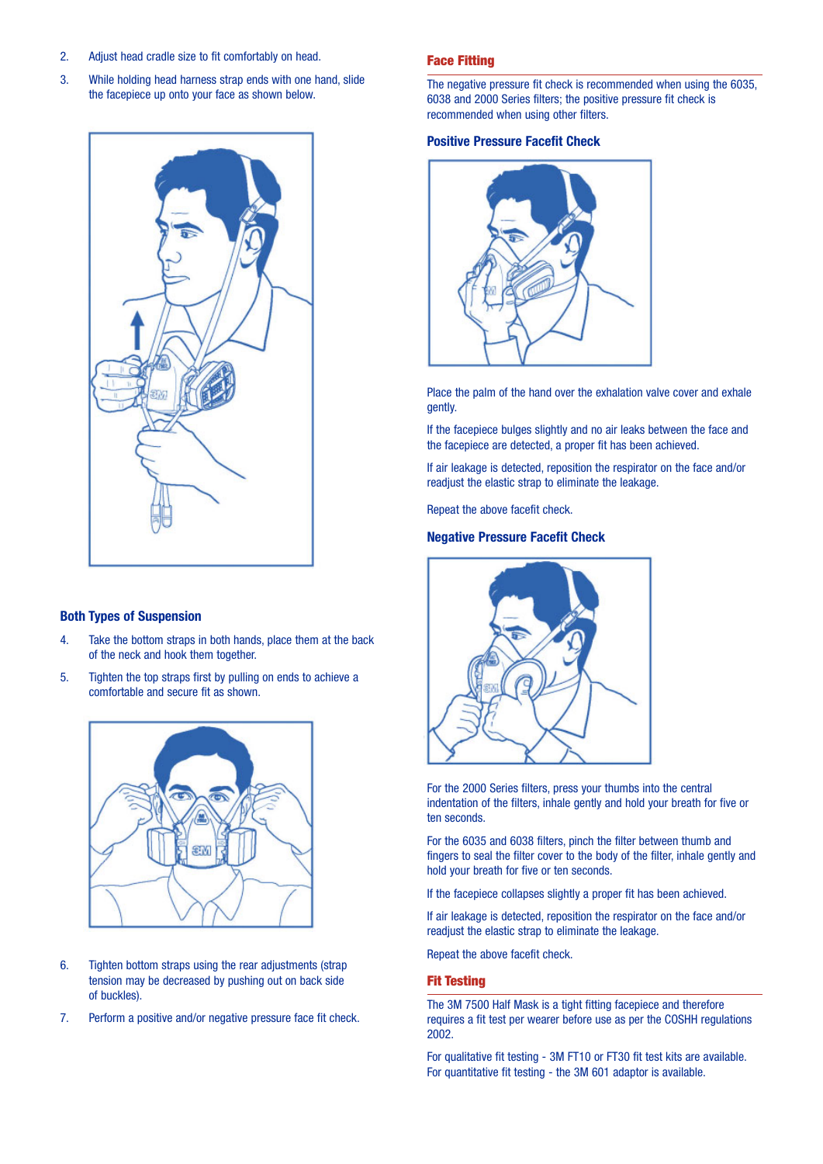- 2. Adjust head cradle size to fit comfortably on head.
- 3. While holding head harness strap ends with one hand, slide the facepiece up onto your face as shown below.



#### **Both Types of Suspension**

- 4. Take the bottom straps in both hands, place them at the back of the neck and hook them together.
- 5. Tighten the top straps first by pulling on ends to achieve a comfortable and secure fit as shown.



- 6. Tighten bottom straps using the rear adjustments (strap tension may be decreased by pushing out on back side of buckles).
- 7. Perform a positive and/or negative pressure face fit check.

#### Face Fitting

The negative pressure fit check is recommended when using the 6035, 6038 and 2000 Series filters; the positive pressure fit check is recommended when using other filters.

#### **Positive Pressure Facefit Check**



Place the palm of the hand over the exhalation valve cover and exhale gently.

If the facepiece bulges slightly and no air leaks between the face and the facepiece are detected, a proper fit has been achieved.

If air leakage is detected, reposition the respirator on the face and/or readjust the elastic strap to eliminate the leakage.

Repeat the above facefit check.

#### **Negative Pressure Facefit Check**



For the 2000 Series filters, press your thumbs into the central indentation of the filters, inhale gently and hold your breath for five or ten seconds.

For the 6035 and 6038 filters, pinch the filter between thumb and fingers to seal the filter cover to the body of the filter, inhale gently and hold your breath for five or ten seconds.

If the facepiece collapses slightly a proper fit has been achieved.

If air leakage is detected, reposition the respirator on the face and/or readjust the elastic strap to eliminate the leakage.

Repeat the above facefit check.

#### Fit Testing

The 3M 7500 Half Mask is a tight fitting facepiece and therefore requires a fit test per wearer before use as per the COSHH regulations 2002.

For qualitative fit testing - 3M FT10 or FT30 fit test kits are available. For quantitative fit testing - the 3M 601 adaptor is available.